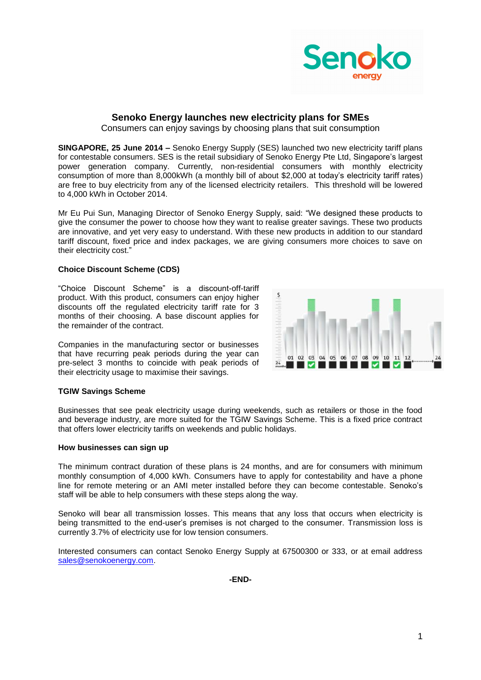

## **Senoko Energy launches new electricity plans for SMEs**

Consumers can enjoy savings by choosing plans that suit consumption

**SINGAPORE, 25 June 2014 –** Senoko Energy Supply (SES) launched two new electricity tariff plans for contestable consumers. SES is the retail subsidiary of Senoko Energy Pte Ltd, Singapore's largest power generation company. Currently, non-residential consumers with monthly electricity consumption of more than 8,000kWh (a monthly bill of about \$2,000 at today's electricity tariff rates) are free to buy electricity from any of the licensed electricity retailers. This threshold will be lowered to 4,000 kWh in October 2014.

Mr Eu Pui Sun, Managing Director of Senoko Energy Supply, said: "We designed these products to give the consumer the power to choose how they want to realise greater savings. These two products are innovative, and yet very easy to understand. With these new products in addition to our standard tariff discount, fixed price and index packages, we are giving consumers more choices to save on their electricity cost."

## **Choice Discount Scheme (CDS)**

"Choice Discount Scheme" is a discount-off-tariff product. With this product, consumers can enjoy higher discounts off the regulated electricity tariff rate for 3 months of their choosing. A base discount applies for the remainder of the contract.

Companies in the manufacturing sector or businesses that have recurring peak periods during the year can pre-select 3 months to coincide with peak periods of their electricity usage to maximise their savings.



Businesses that see peak electricity usage during weekends, such as retailers or those in the food and beverage industry, are more suited for the TGIW Savings Scheme. This is a fixed price contract that offers lower electricity tariffs on weekends and public holidays.

## **How businesses can sign up**

The minimum contract duration of these plans is 24 months, and are for consumers with minimum monthly consumption of 4,000 kWh. Consumers have to apply for contestability and have a phone line for remote metering or an AMI meter installed before they can become contestable. Senoko's staff will be able to help consumers with these steps along the way.

Senoko will bear all transmission losses. This means that any loss that occurs when electricity is being transmitted to the end-user's premises is not charged to the consumer. Transmission loss is currently 3.7% of electricity use for low tension consumers.

Interested consumers can contact Senoko Energy Supply at 67500300 or 333, or at email address [sales@senokoenergy.com.](mailto:sales@senokoenergy.com)